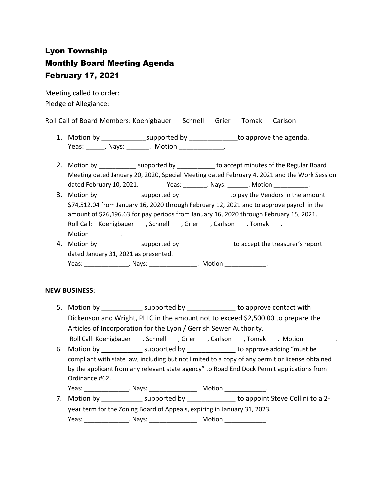# Lyon Township Monthly Board Meeting Agenda February 17, 2021

Meeting called to order: Pledge of Allegiance:

Roll Call of Board Members: Koenigbauer \_\_ Schnell \_\_ Grier \_\_ Tomak \_\_ Carlson \_\_

- 1. Motion by \_\_\_\_\_\_\_\_\_\_\_\_\_\_\_\_supported by \_\_\_\_\_\_\_\_\_\_\_\_\_\_\_\_to approve the agenda. Yeas: Nays: Notion Reas: Notion
- 2. Motion by \_\_\_\_\_\_\_\_\_\_\_\_\_ supported by \_\_\_\_\_\_\_\_\_\_\_ to accept minutes of the Regular Board Meeting dated January 20, 2020, Special Meeting dated February 4, 2021 and the Work Session dated February 10, 2021. <br>
Yeas: \_\_\_\_\_\_\_\_\_\_\_\_\_\_\_\_\_\_\_\_\_\_\_\_\_\_\_\_\_\_\_\_\_\_\_. Motion \_\_\_\_\_\_\_\_\_\_\_\_\_\_\_\_\_\_\_\_\_\_\_\_\_\_\_\_\_\_\_\_\_\_\_
- 3. Motion by \_\_\_\_\_\_\_\_\_\_\_\_\_\_\_ supported by \_\_\_\_\_\_\_\_\_\_\_\_\_\_\_ to pay the Vendors in the amount \$74,512.04 from January 16, 2020 through February 12, 2021 and to approve payroll in the amount of \$26,196.63 for pay periods from January 16, 2020 through February 15, 2021. Roll Call: Koenigbauer \_\_\_, Schnell \_\_\_, Grier \_\_\_, Carlson \_\_\_. Tomak \_\_\_. Motion \_\_\_\_\_\_\_\_.
- 4. Motion by \_\_\_\_\_\_\_\_\_\_\_\_\_\_\_ supported by \_\_\_\_\_\_\_\_\_\_\_\_\_\_\_\_\_\_ to accept the treasurer's report dated January 31, 2021 as presented. Yeas: The Mays: The Motion Controller Motion Controller Motion Controller May Sea Motion Controller May Sea Mo

# **NEW BUSINESS:**

- 5. Motion by **EXACCO BY** supported by **EXACCO BY** to approve contact with Dickenson and Wright, PLLC in the amount not to exceed \$2,500.00 to prepare the Articles of Incorporation for the Lyon / Gerrish Sewer Authority. Roll Call: Koenigbauer \_\_\_\_. Schnell \_\_\_, Grier \_\_\_, Carlson \_\_\_, Tomak \_\_\_. Motion \_\_\_\_\_\_\_\_\_.
- 6. Motion by \_\_\_\_\_\_\_\_\_\_\_ supported by \_\_\_\_\_\_\_\_\_\_\_\_\_ to approve adding "must be compliant with state law, including but not limited to a copy of any permit or license obtained by the applicant from any relevant state agency" to Road End Dock Permit applications from Ordinance #62.

Yeas: \_\_\_\_\_\_\_\_\_\_\_\_\_\_\_\_\_. Nays: \_\_\_\_\_\_\_\_\_\_\_\_\_\_\_\_. Motion \_\_\_\_\_\_\_\_\_\_\_\_\_\_\_.

7. Motion by Supported by to appoint Steve Collini to a 2year term for the Zoning Board of Appeals, expiring in January 31, 2023. Yeas: The Mays: The Motion Controller Motion and Motion and Motion and Motion and Motion and Motion and Motion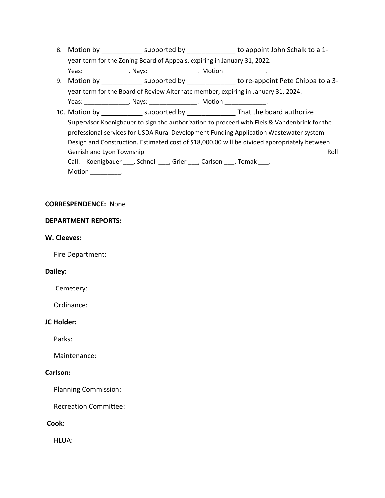- 8. Motion by \_\_\_\_\_\_\_\_\_\_\_\_\_\_ supported by \_\_\_\_\_\_\_\_\_\_\_\_\_\_\_\_ to appoint John Schalk to a 1year term for the Zoning Board of Appeals, expiring in January 31, 2022. Yeas: \_\_\_\_\_\_\_\_\_\_\_\_\_\_\_\_\_. Nays: \_\_\_\_\_\_\_\_\_\_\_\_\_\_\_\_. Motion \_\_\_\_\_\_\_\_\_\_\_\_\_\_\_.
- 9. Motion by \_\_\_\_\_\_\_\_\_\_\_\_\_ supported by \_\_\_\_\_\_\_\_\_\_\_\_\_\_\_ to re-appoint Pete Chippa to a 3year term for the Board of Review Alternate member, expiring in January 31, 2024. Yeas: \_\_\_\_\_\_\_\_\_\_\_\_\_\_\_\_\_. Nays: \_\_\_\_\_\_\_\_\_\_\_\_\_\_\_\_. Motion \_\_\_\_\_\_\_\_\_\_\_\_\_\_\_.

10. Motion by **Example 3** supported by **Example 2** That the board authorize Supervisor Koenigbauer to sign the authorization to proceed with Fleis & Vandenbrink for the professional services for USDA Rural Development Funding Application Wastewater system Design and Construction. Estimated cost of \$18,000.00 will be divided appropriately between Gerrish and Lyon Township **Roll** and *Lyon Township* Roll and *Roll* and *Roll* and *Roll* and *Roll* and *Roll* and *Roll* and *Roll* and *Roll* and *Roll* and *Roll* and *Roll* and *Roll* and *Roll* and *Roll* and *Roll* Call: Koenigbauer \_\_\_, Schnell \_\_\_, Grier \_\_\_, Carlson \_\_\_. Tomak \_\_\_. Motion \_\_\_\_\_\_\_\_\_\_.

#### **CORRESPENDENCE:** None

#### **DEPARTMENT REPORTS:**

#### **W. Cleeves:**

Fire Department:

#### **Dailey:**

Cemetery:

Ordinance:

#### **JC Holder:**

Parks:

Maintenance:

#### **Carlson:**

Planning Commission:

Recreation Committee:

# **Cook:**

HLUA: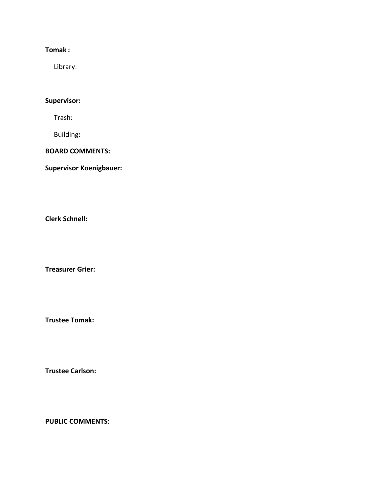# **Tomak :**

Library:

# **Supervisor:**

Trash:

Building**:**

# **BOARD COMMENTS:**

**Supervisor Koenigbauer:**

**Clerk Schnell:** 

**Treasurer Grier:**

**Trustee Tomak:**

**Trustee Carlson:**

**PUBLIC COMMENTS**: